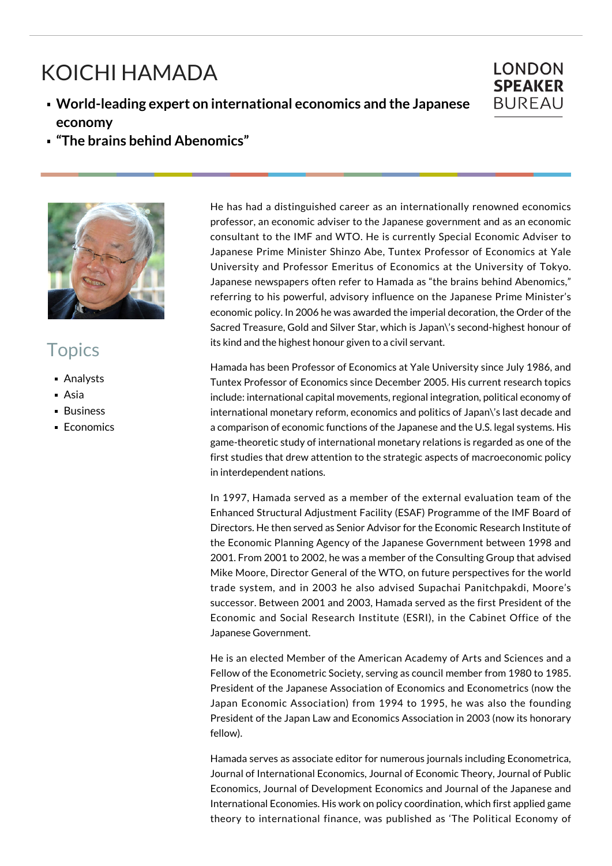## KOICHI HAMADA

**World-leading expert on international economics and the Japanese economy**



**"The brains behind Abenomics"**



## Topics

- Analysts
- Asia
- **Business**
- **Economics**

He has had a distinguished career as an internationally renowned economics professor, an economic adviser to the Japanese government and as an economic consultant to the IMF and WTO. He is currently Special Economic Adviser to Japanese Prime Minister Shinzo Abe, Tuntex Professor of Economics at Yale University and Professor Emeritus of Economics at the University of Tokyo. Japanese newspapers often refer to Hamada as "the brains behind Abenomics," referring to his powerful, advisory influence on the Japanese Prime Minister's economic policy. In 2006 he was awarded the imperial decoration, the Order of the Sacred Treasure, Gold and Silver Star, which is Japan\'s second-highest honour of its kind and the highest honour given to a civil servant.

Hamada has been Professor of Economics at Yale University since July 1986, and Tuntex Professor of Economics since December 2005. His current research topics include: international capital movements, regional integration, political economy of international monetary reform, economics and politics of Japan\'s last decade and a comparison of economic functions of the Japanese and the U.S. legal systems. His game-theoretic study of international monetary relations is regarded as one of the first studies that drew attention to the strategic aspects of macroeconomic policy in interdependent nations.

In 1997, Hamada served as a member of the external evaluation team of the Enhanced Structural Adjustment Facility (ESAF) Programme of the IMF Board of Directors. He then served as Senior Advisor for the Economic Research Institute of the Economic Planning Agency of the Japanese Government between 1998 and 2001. From 2001 to 2002, he was a member of the Consulting Group that advised Mike Moore, Director General of the WTO, on future perspectives for the world trade system, and in 2003 he also advised Supachai Panitchpakdi, Moore's successor. Between 2001 and 2003, Hamada served as the first President of the Economic and Social Research Institute (ESRI), in the Cabinet Office of the Japanese Government.

He is an elected Member of the American Academy of Arts and Sciences and a Fellow of the Econometric Society, serving as council member from 1980 to 1985. President of the Japanese Association of Economics and Econometrics (now the Japan Economic Association) from 1994 to 1995, he was also the founding President of the Japan Law and Economics Association in 2003 (now its honorary fellow).

Hamada serves as associate editor for numerous journals including Econometrica, Journal of International Economics, Journal of Economic Theory, Journal of Public Economics, Journal of Development Economics and Journal of the Japanese and International Economies. His work on policy coordination, which first applied game theory to international finance, was published as 'The Political Economy of